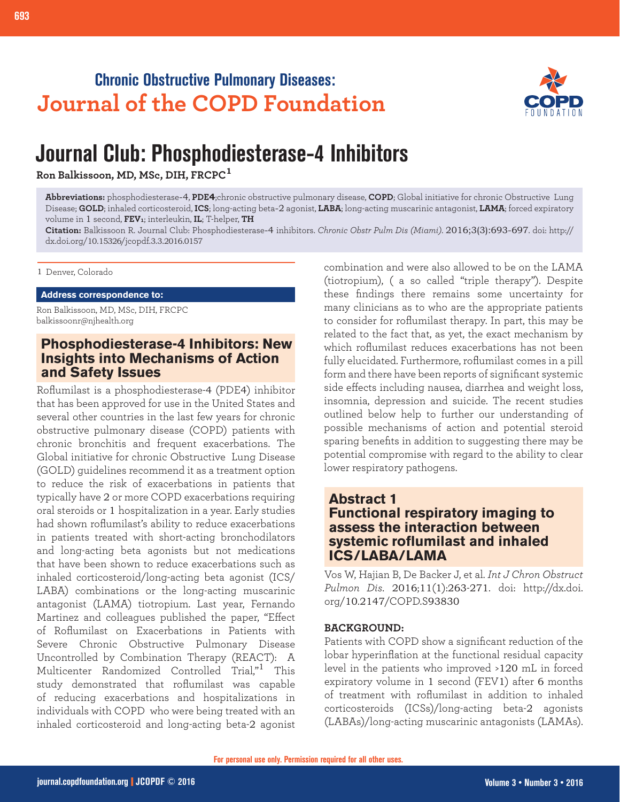# **Chronic Obstructive Pulmonary Diseases: Journal of the COPD Foundation**



# **Journal Club: Phosphodiesterase-4 Inhibitors**

**Ron Balkissoon, MD, MSc, DIH, FRCPC<sup>1</sup>**

**Abbreviations:** phosphodiesterase-4, **PDE4**;chronic obstructive pulmonary disease, **COPD**; Global initiative for chronic Obstructive Lung Disease; **GOLD**; inhaled corticosteroid, **ICS**; long-acting beta-2 agonist, **LABA**; long-acting muscarinic antagonist, **LAMA**; forced expiratory volume in 1 second, **FEV1**; interleukin, **IL**; T-helper, **TH**

**Citation:** Balkissoon R. Journal Club: Phosphodiesterase-4 inhibitors. *Chronic Obstr Pulm Dis (Miami)*. 2016;3(3):693-697. doi: http:// dx.doi.org/10.15326/jcopdf.3.3.2016.0157

1 Denver, Colorado

**Address correspondence to:**

Ron Balkissoon, MD, MSc, DIH, FRCPC balkissoonr@njhealth.org

# **Phosphodiesterase-4 Inhibitors: New Insights into Mechanisms of Action and Safety Issues**

Roflumilast is a phosphodiesterase-4 (PDE4) inhibitor that has been approved for use in the United States and several other countries in the last few years for chronic obstructive pulmonary disease (COPD) patients with chronic bronchitis and frequent exacerbations. The Global initiative for chronic Obstructive Lung Disease (GOLD) guidelines recommend it as a treatment option to reduce the risk of exacerbations in patients that typically have 2 or more COPD exacerbations requiring oral steroids or 1 hospitalization in a year. Early studies had shown roflumilast's ability to reduce exacerbations in patients treated with short-acting bronchodilators and long-acting beta agonists but not medications that have been shown to reduce exacerbations such as inhaled corticosteroid/long-acting beta agonist (ICS/ LABA) combinations or the long-acting muscarinic antagonist (LAMA) tiotropium. Last year, Fernando Martinez and colleagues published the paper, "Effect of Roflumilast on Exacerbations in Patients with Severe Chronic Obstructive Pulmonary Disease Uncontrolled by Combination Therapy (REACT): A Multicenter Randomized Controlled Trial,"1 This study demonstrated that roflumilast was capable of reducing exacerbations and hospitalizations in individuals with COPD who were being treated with an inhaled corticosteroid and long-acting beta-2 agonist

combination and were also allowed to be on the LAMA (tiotropium), ( a so called "triple therapy"). Despite these findings there remains some uncertainty for many clinicians as to who are the appropriate patients to consider for roflumilast therapy. In part, this may be related to the fact that, as yet, the exact mechanism by which roflumilast reduces exacerbations has not been fully elucidated. Furthermore, roflumilast comes in a pill form and there have been reports of significant systemic side effects including nausea, diarrhea and weight loss, insomnia, depression and suicide. The recent studies outlined below help to further our understanding of possible mechanisms of action and potential steroid sparing benefits in addition to suggesting there may be potential compromise with regard to the ability to clear lower respiratory pathogens.

#### **Abstract 1 Functional respiratory imaging to assess the interaction between systemic roflumilast and inhaled ICS/LABA/LAMA**

Vos W, Hajian B, De Backer J, et al. *Int J Chron Obstruct Pulmon Dis*. 2016;11(1):263-271. doi: http://dx.doi. org/10.2147/COPD.S93830

#### **BACKGROUND:**

Patients with COPD show a significant reduction of the lobar hyperinflation at the functional residual capacity level in the patients who improved >120 mL in forced expiratory volume in 1 second (FEV1) after 6 months of treatment with roflumilast in addition to inhaled corticosteroids (ICSs)/long-acting beta-2 agonists (LABAs)/long-acting muscarinic antagonists (LAMAs).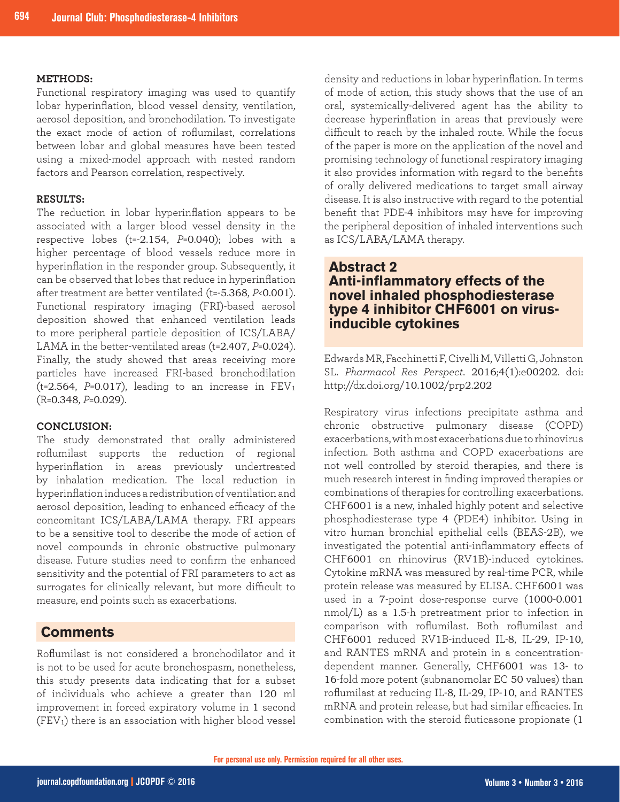#### **METHODS:**

Functional respiratory imaging was used to quantify lobar hyperinflation, blood vessel density, ventilation, aerosol deposition, and bronchodilation. To investigate the exact mode of action of roflumilast, correlations between lobar and global measures have been tested using a mixed-model approach with nested random factors and Pearson correlation, respectively.

#### **RESULTS:**

The reduction in lobar hyperinflation appears to be associated with a larger blood vessel density in the respective lobes (t=-2.154, *P*=0.040); lobes with a higher percentage of blood vessels reduce more in hyperinflation in the responder group. Subsequently, it can be observed that lobes that reduce in hyperinflation after treatment are better ventilated (t=-5.368, *P*<0.001). Functional respiratory imaging (FRI)-based aerosol deposition showed that enhanced ventilation leads to more peripheral particle deposition of ICS/LABA/ LAMA in the better-ventilated areas (t=2.407, *P*=0.024). Finally, the study showed that areas receiving more particles have increased FRI-based bronchodilation ( $t=2.564$ ,  $P=0.017$ ), leading to an increase in  $FEV<sub>1</sub>$ (R=0.348, *P*=0.029).

#### **CONCLUSION:**

The study demonstrated that orally administered roflumilast supports the reduction of regional hyperinflation in areas previously undertreated by inhalation medication. The local reduction in hyperinflation induces a redistribution of ventilation and aerosol deposition, leading to enhanced efficacy of the concomitant ICS/LABA/LAMA therapy. FRI appears to be a sensitive tool to describe the mode of action of novel compounds in chronic obstructive pulmonary disease. Future studies need to confirm the enhanced sensitivity and the potential of FRI parameters to act as surrogates for clinically relevant, but more difficult to measure, end points such as exacerbations.

#### **Comments**

Roflumilast is not considered a bronchodilator and it is not to be used for acute bronchospasm, nonetheless, this study presents data indicating that for a subset of individuals who achieve a greater than 120 ml improvement in forced expiratory volume in 1 second (FEV1) there is an association with higher blood vessel

density and reductions in lobar hyperinflation. In terms of mode of action, this study shows that the use of an oral, systemically-delivered agent has the ability to decrease hyperinflation in areas that previously were difficult to reach by the inhaled route. While the focus of the paper is more on the application of the novel and promising technology of functional respiratory imaging it also provides information with regard to the benefits of orally delivered medications to target small airway disease. It is also instructive with regard to the potential benefit that PDE-4 inhibitors may have for improving the peripheral deposition of inhaled interventions such as ICS/LABA/LAMA therapy.

## **Abstract 2 Anti-inflammatory effects of the novel inhaled phosphodiesterase type 4 inhibitor CHF6001 on virusinducible cytokines**

Edwards MR, Facchinetti F, Civelli M, Villetti G, Johnston SL. *Pharmacol Res Perspect*. 2016;4(1):e00202. doi: http://dx.doi.org/10.1002/prp2.202

Respiratory virus infections precipitate asthma and chronic obstructive pulmonary disease (COPD) exacerbations, with most exacerbations due to rhinovirus infection. Both asthma and COPD exacerbations are not well controlled by steroid therapies, and there is much research interest in finding improved therapies or combinations of therapies for controlling exacerbations. CHF6001 is a new, inhaled highly potent and selective phosphodiesterase type 4 (PDE4) inhibitor. Using in vitro human bronchial epithelial cells (BEAS-2B), we investigated the potential anti-inflammatory effects of CHF6001 on rhinovirus (RV1B)-induced cytokines. Cytokine mRNA was measured by real-time PCR, while protein release was measured by ELISA. CHF6001 was used in a 7-point dose-response curve (1000-0.001 nmol/L) as a 1.5-h pretreatment prior to infection in comparison with roflumilast. Both roflumilast and CHF6001 reduced RV1B-induced IL-8, IL-29, IP-10, and RANTES mRNA and protein in a concentrationdependent manner. Generally, CHF6001 was 13- to 16-fold more potent (subnanomolar EC 50 values) than roflumilast at reducing IL-8, IL-29, IP-10, and RANTES mRNA and protein release, but had similar efficacies. In combination with the steroid fluticasone propionate (1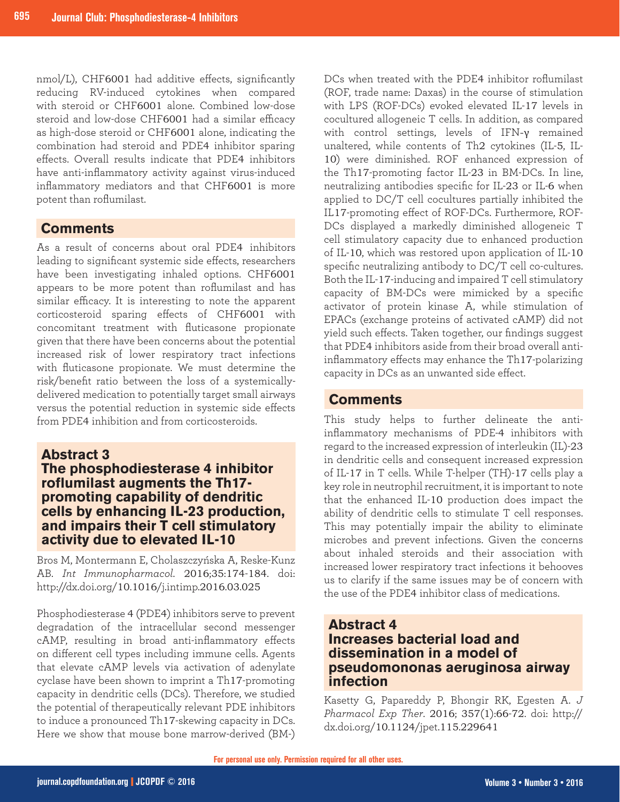nmol/L), CHF6001 had additive effects, significantly reducing RV-induced cytokines when compared with steroid or CHF6001 alone. Combined low-dose steroid and low-dose CHF6001 had a similar efficacy as high-dose steroid or CHF6001 alone, indicating the combination had steroid and PDE4 inhibitor sparing effects. Overall results indicate that PDE4 inhibitors have anti-inflammatory activity against virus-induced inflammatory mediators and that CHF6001 is more potent than roflumilast.

## **Comments**

As a result of concerns about oral PDE4 inhibitors leading to significant systemic side effects, researchers have been investigating inhaled options. CHF6001 appears to be more potent than roflumilast and has similar efficacy. It is interesting to note the apparent corticosteroid sparing effects of CHF6001 with concomitant treatment with fluticasone propionate given that there have been concerns about the potential increased risk of lower respiratory tract infections with fluticasone propionate. We must determine the risk/benefit ratio between the loss of a systemicallydelivered medication to potentially target small airways versus the potential reduction in systemic side effects from PDE4 inhibition and from corticosteroids.

# **Abstract 3**

## **The phosphodiesterase 4 inhibitor roflumilast augments the Th17 promoting capability of dendritic cells by enhancing IL-23 production, and impairs their T cell stimulatory activity due to elevated IL-10**

Bros M, Montermann E, Cholaszczyńska A, Reske-Kunz AB. *Int Immunopharmacol*. 2016;35:174-184. doi: http://dx.doi.org/10.1016/j.intimp.2016.03.025

Phosphodiesterase 4 (PDE4) inhibitors serve to prevent degradation of the intracellular second messenger cAMP, resulting in broad anti-inflammatory effects on different cell types including immune cells. Agents that elevate cAMP levels via activation of adenylate cyclase have been shown to imprint a Th17-promoting capacity in dendritic cells (DCs). Therefore, we studied the potential of therapeutically relevant PDE inhibitors to induce a pronounced Th17-skewing capacity in DCs. Here we show that mouse bone marrow-derived (BM-)

DCs when treated with the PDE4 inhibitor roflumilast (ROF, trade name: Daxas) in the course of stimulation with LPS (ROF-DCs) evoked elevated IL-17 levels in cocultured allogeneic T cells. In addition, as compared with control settings, levels of IFN-γ remained unaltered, while contents of Th2 cytokines (IL-5, IL-10) were diminished. ROF enhanced expression of the Th17-promoting factor IL-23 in BM-DCs. In line, neutralizing antibodies specific for IL-23 or IL-6 when applied to DC/T cell cocultures partially inhibited the IL17-promoting effect of ROF-DCs. Furthermore, ROF-DCs displayed a markedly diminished allogeneic T cell stimulatory capacity due to enhanced production of IL-10, which was restored upon application of IL-10 specific neutralizing antibody to DC/T cell co-cultures. Both the IL-17-inducing and impaired T cell stimulatory capacity of BM-DCs were mimicked by a specific activator of protein kinase A, while stimulation of EPACs (exchange proteins of activated cAMP) did not yield such effects. Taken together, our findings suggest that PDE4 inhibitors aside from their broad overall antiinflammatory effects may enhance the Th17-polarizing capacity in DCs as an unwanted side effect.

# **Comments**

This study helps to further delineate the antiinflammatory mechanisms of PDE-4 inhibitors with regard to the increased expression of interleukin (IL)-23 in dendritic cells and consequent increased expression of IL-17 in T cells. While T-helper (TH)-17 cells play a key role in neutrophil recruitment, it is important to note that the enhanced IL-10 production does impact the ability of dendritic cells to stimulate T cell responses. This may potentially impair the ability to eliminate microbes and prevent infections. Given the concerns about inhaled steroids and their association with increased lower respiratory tract infections it behooves us to clarify if the same issues may be of concern with the use of the PDE4 inhibitor class of medications.

## **Abstract 4 Increases bacterial load and dissemination in a model of pseudomononas aeruginosa airway infection**

Kasetty G, Papareddy P, Bhongir RK, Egesten A. *J Pharmacol Exp Ther*. 2016; 357(1):66-72. doi: http:// dx.doi.org/10.1124/jpet.115.229641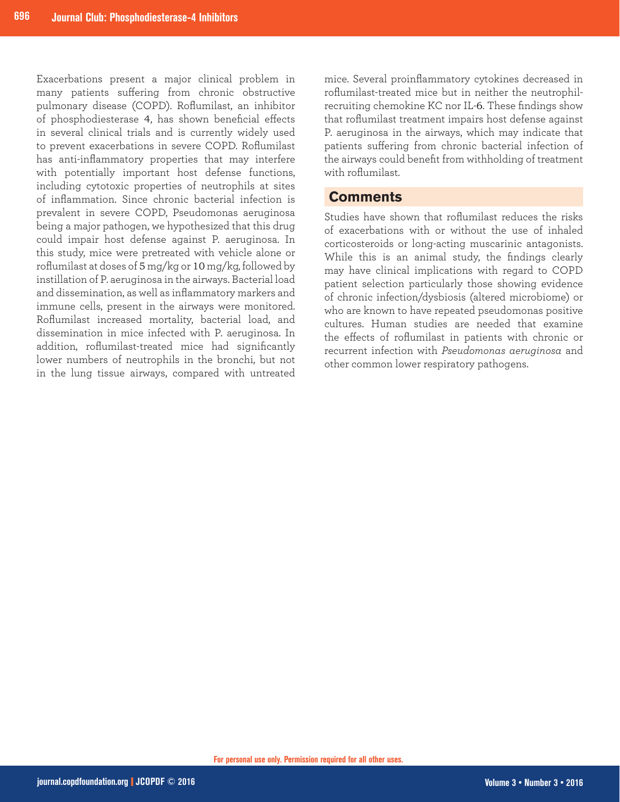Exacerbations present a major clinical problem in many patients suffering from chronic obstructive pulmonary disease (COPD). Roflumilast, an inhibitor of phosphodiesterase 4, has shown beneficial effects in several clinical trials and is currently widely used to prevent exacerbations in severe COPD. Roflumilast has anti-inflammatory properties that may interfere with potentially important host defense functions, including cytotoxic properties of neutrophils at sites of inflammation. Since chronic bacterial infection is prevalent in severe COPD, Pseudomonas aeruginosa being a major pathogen, we hypothesized that this drug could impair host defense against P. aeruginosa. In this study, mice were pretreated with vehicle alone or roflumilast at doses of 5 mg/kg or 10 mg/kg, followed by instillation of P. aeruginosa in the airways. Bacterial load and dissemination, as well as inflammatory markers and immune cells, present in the airways were monitored. Roflumilast increased mortality, bacterial load, and dissemination in mice infected with P. aeruginosa. In addition, roflumilast-treated mice had significantly lower numbers of neutrophils in the bronchi, but not in the lung tissue airways, compared with untreated

mice. Several proinflammatory cytokines decreased in roflumilast-treated mice but in neither the neutrophilrecruiting chemokine KC nor IL-6. These findings show that roflumilast treatment impairs host defense against P. aeruginosa in the airways, which may indicate that patients suffering from chronic bacterial infection of the airways could benefit from withholding of treatment with roflumilast.

#### **Comments**

Studies have shown that roflumilast reduces the risks of exacerbations with or without the use of inhaled corticosteroids or long-acting muscarinic antagonists. While this is an animal study, the findings clearly may have clinical implications with regard to COPD patient selection particularly those showing evidence of chronic infection/dysbiosis (altered microbiome) or who are known to have repeated pseudomonas positive cultures. Human studies are needed that examine the effects of roflumilast in patients with chronic or recurrent infection with *Pseudomonas aeruginosa* and other common lower respiratory pathogens.